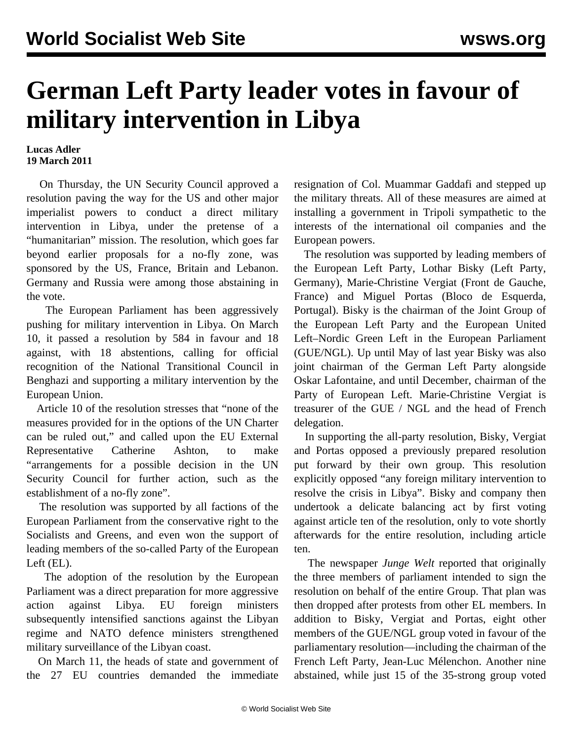## **German Left Party leader votes in favour of military intervention in Libya**

## **Lucas Adler 19 March 2011**

 On Thursday, the UN Security Council approved a resolution paving the way for the US and other major imperialist powers to conduct a direct military intervention in Libya, under the pretense of a "humanitarian" mission. The resolution, which goes far beyond earlier proposals for a no-fly zone, was sponsored by the US, France, Britain and Lebanon. Germany and Russia were among those abstaining in the vote.

 The European Parliament has been aggressively pushing for military intervention in Libya. On March 10, it passed a resolution by 584 in favour and 18 against, with 18 abstentions, calling for official recognition of the National Transitional Council in Benghazi and supporting a military intervention by the European Union.

 Article 10 of the resolution stresses that "none of the measures provided for in the options of the UN Charter can be ruled out," and called upon the EU External Representative Catherine Ashton, to make "arrangements for a possible decision in the UN Security Council for further action, such as the establishment of a no-fly zone".

 The resolution was supported by all factions of the European Parliament from the conservative right to the Socialists and Greens, and even won the support of leading members of the so-called Party of the European Left (EL).

 The adoption of the resolution by the European Parliament was a direct preparation for more aggressive action against Libya. EU foreign ministers subsequently intensified sanctions against the Libyan regime and NATO defence ministers strengthened military surveillance of the Libyan coast.

 On March 11, the heads of state and government of the 27 EU countries demanded the immediate

resignation of Col. Muammar Gaddafi and stepped up the military threats. All of these measures are aimed at installing a government in Tripoli sympathetic to the interests of the international oil companies and the European powers.

 The resolution was supported by leading members of the European Left Party, Lothar Bisky (Left Party, Germany), Marie-Christine Vergiat (Front de Gauche, France) and Miguel Portas (Bloco de Esquerda, Portugal). Bisky is the chairman of the Joint Group of the European Left Party and the European United Left–Nordic Green Left in the European Parliament (GUE/NGL). Up until May of last year Bisky was also joint chairman of the German Left Party alongside Oskar Lafontaine, and until December, chairman of the Party of European Left. Marie-Christine Vergiat is treasurer of the GUE / NGL and the head of French delegation.

 In supporting the all-party resolution, Bisky, Vergiat and Portas opposed a previously prepared resolution put forward by their own group. This resolution explicitly opposed "any foreign military intervention to resolve the crisis in Libya". Bisky and company then undertook a delicate balancing act by first voting against article ten of the resolution, only to vote shortly afterwards for the entire resolution, including article ten.

 The newspaper *Junge Welt* reported that originally the three members of parliament intended to sign the resolution on behalf of the entire Group. That plan was then dropped after protests from other EL members. In addition to Bisky, Vergiat and Portas, eight other members of the GUE/NGL group voted in favour of the parliamentary resolution—including the chairman of the French Left Party, Jean-Luc Mélenchon. Another nine abstained, while just 15 of the 35-strong group voted